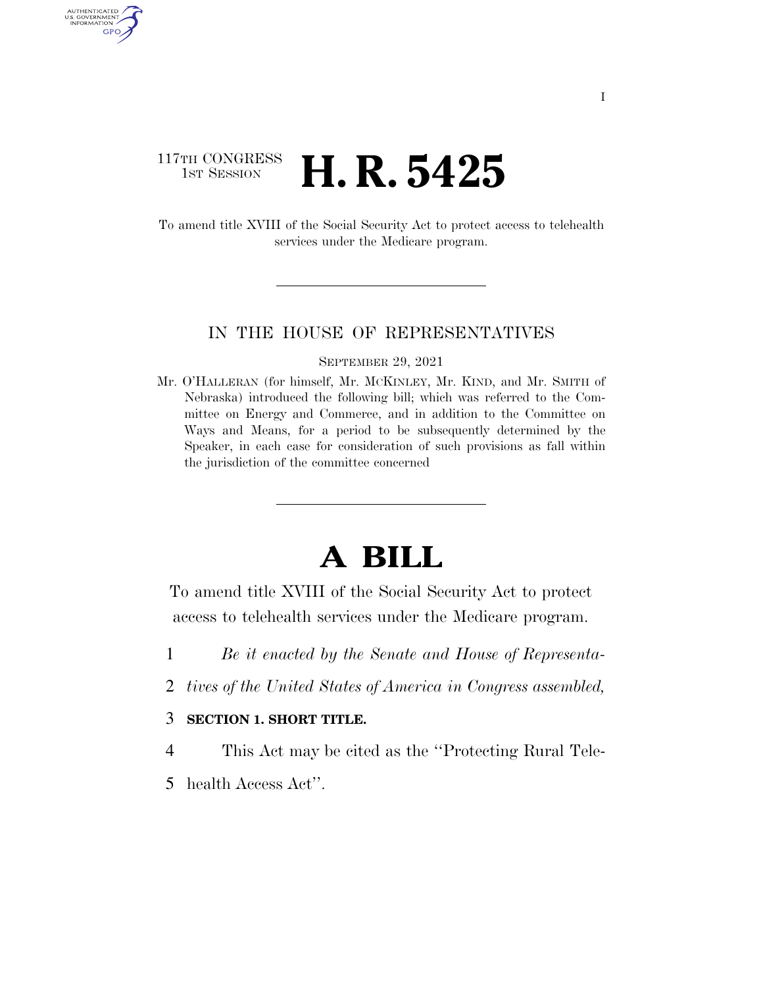### 117TH CONGRESS **HE CONGRESS H. R. 5425**

AUTHENTICATED U.S. GOVERNMENT GPO

> To amend title XVIII of the Social Security Act to protect access to telehealth services under the Medicare program.

### IN THE HOUSE OF REPRESENTATIVES

#### SEPTEMBER 29, 2021

Mr. O'HALLERAN (for himself, Mr. MCKINLEY, Mr. KIND, and Mr. SMITH of Nebraska) introduced the following bill; which was referred to the Committee on Energy and Commerce, and in addition to the Committee on Ways and Means, for a period to be subsequently determined by the Speaker, in each case for consideration of such provisions as fall within the jurisdiction of the committee concerned

# **A BILL**

To amend title XVIII of the Social Security Act to protect access to telehealth services under the Medicare program.

- 1 *Be it enacted by the Senate and House of Representa-*
- 2 *tives of the United States of America in Congress assembled,*
- 3 **SECTION 1. SHORT TITLE.**
- 4 This Act may be cited as the ''Protecting Rural Tele-
- 5 health Access Act''.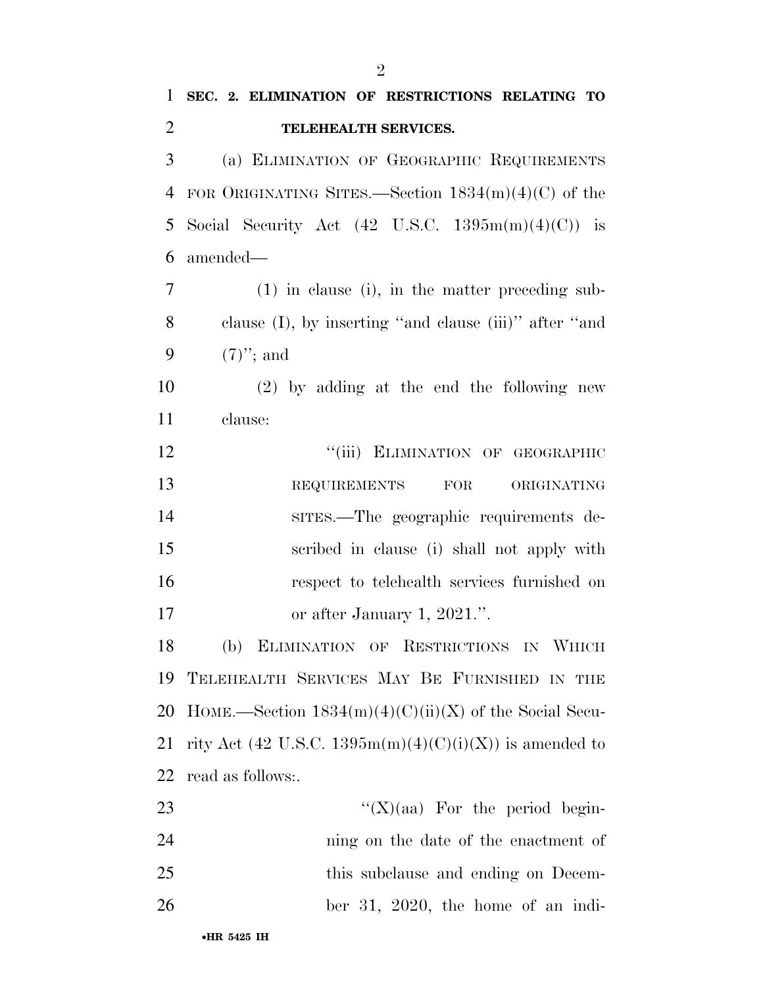## **SEC. 2. ELIMINATION OF RESTRICTIONS RELATING TO TELEHEALTH SERVICES.**  (a) ELIMINATION OF GEOGRAPHIC REQUIREMENTS FOR ORIGINATING SITES.—Section 1834(m)(4)(C) of the 5 Social Security Act  $(42 \text{ U.S.C. } 1395 \text{m(m)}(4)(\text{C}))$  is amended— (1) in clause (i), in the matter preceding sub- clause (I), by inserting ''and clause (iii)'' after ''and (7)''; and (2) by adding at the end the following new clause: 12 "(iii) ELIMINATION OF GEOGRAPHIC 13 REQUIREMENTS FOR ORIGINATING SITES.—The geographic requirements de- scribed in clause (i) shall not apply with respect to telehealth services furnished on 17 or after January 1, 2021.". (b) ELIMINATION OF RESTRICTIONS IN WHICH TELEHEALTH SERVICES MAY BE FURNISHED IN THE

20 HOME.—Section  $1834(m)(4)(C)(ii)(X)$  of the Social Secu-21 rity Act (42 U.S.C. 1395m(m)(4)(C)(i)(X)) is amended to read as follows:.

| 23 | " $(X)(aa)$ For the period begin-    |
|----|--------------------------------------|
| 24 | ning on the date of the enactment of |
| 25 | this subclause and ending on Decem-  |
| 26 | ber 31, 2020, the home of an indi-   |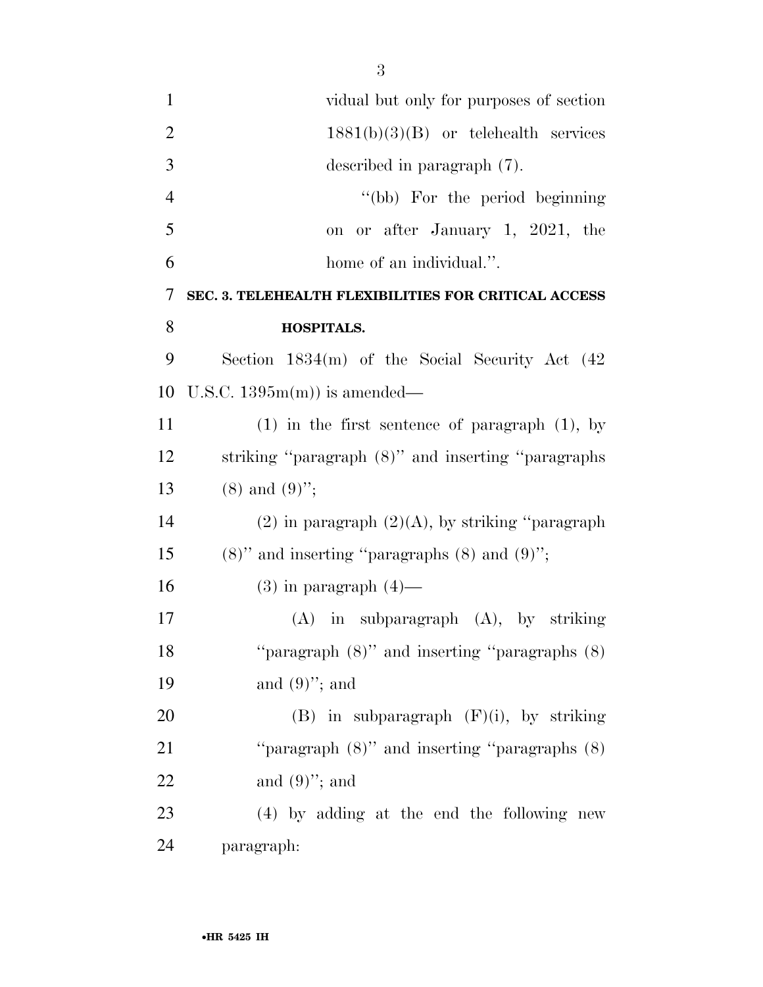| $\mathbf{1}$   | vidual but only for purposes of section               |
|----------------|-------------------------------------------------------|
| $\overline{2}$ | $1881(b)(3)(B)$ or telehealth services                |
| 3              | described in paragraph (7).                           |
| $\overline{4}$ | "(bb) For the period beginning                        |
| 5              | or after January 1, 2021, the<br>on                   |
| 6              | home of an individual.".                              |
| 7              | SEC. 3. TELEHEALTH FLEXIBILITIES FOR CRITICAL ACCESS  |
| 8              | <b>HOSPITALS.</b>                                     |
| 9              | Section $1834(m)$ of the Social Security Act $(42)$   |
| 10             | U.S.C. $1395m(m)$ is amended—                         |
| 11             | $(1)$ in the first sentence of paragraph $(1)$ , by   |
| 12             | striking "paragraph (8)" and inserting "paragraphs    |
| 13             | $(8)$ and $(9)$ ";                                    |
| 14             | $(2)$ in paragraph $(2)(A)$ , by striking "paragraph" |
| 15             | $(8)$ " and inserting "paragraphs $(8)$ and $(9)$ ";  |
| 16             | $(3)$ in paragraph $(4)$ —                            |
| 17             | $(A)$ in subparagraph $(A)$ , by striking             |
| 18             | "paragraph $(8)$ " and inserting "paragraphs $(8)$    |
| 19             | and $(9)$ "; and                                      |
| 20             | $(B)$ in subparagraph $(F)(i)$ , by striking          |
| 21             | "paragraph $(8)$ " and inserting "paragraphs $(8)$ "  |
| 22             | and $(9)$ "; and                                      |
| 23             | (4) by adding at the end the following new            |
| 24             | paragraph:                                            |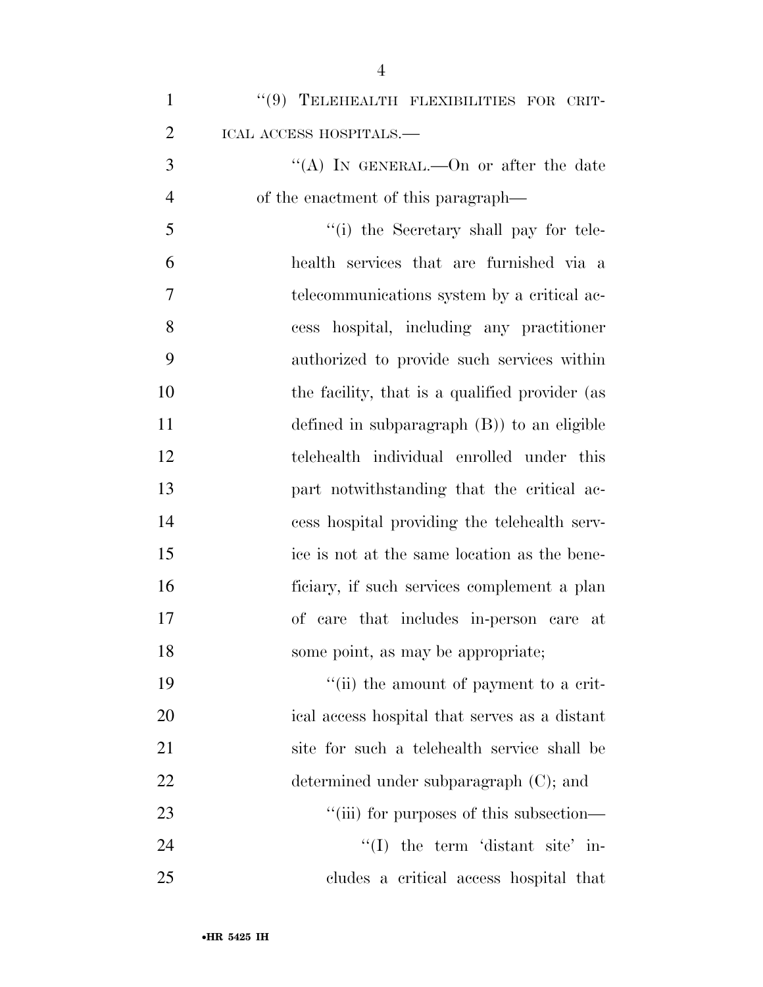| $\mathbf{1}$   | "(9) TELEHEALTH FLEXIBILITIES FOR CRIT-        |
|----------------|------------------------------------------------|
| $\overline{2}$ | ICAL ACCESS HOSPITALS.-                        |
| 3              | "(A) IN GENERAL.—On or after the date          |
| $\overline{4}$ | of the enactment of this paragraph—            |
| 5              | "(i) the Secretary shall pay for tele-         |
| 6              | health services that are furnished via a       |
| 7              | telecommunications system by a critical ac-    |
| 8              | cess hospital, including any practitioner      |
| 9              | authorized to provide such services within     |
| 10             | the facility, that is a qualified provider (as |
| 11             | defined in subparagraph $(B)$ to an eligible   |
| 12             | telehealth individual enrolled under this      |
| 13             | part notwithstanding that the critical ac-     |
| 14             | cess hospital providing the telehealth serv-   |
| 15             | ice is not at the same location as the bene-   |
| 16             | ficiary, if such services complement a plan    |
| 17             | of care that includes in-person care at        |
| 18             | some point, as may be appropriate;             |
| 19             | "(ii) the amount of payment to a crit-         |
| 20             | ical access hospital that serves as a distant  |
| 21             | site for such a telehealth service shall be    |
| 22             | determined under subparagraph $(C)$ ; and      |
| 23             | "(iii) for purposes of this subsection—        |
| 24             | $\lq(1)$ the term 'distant site' in-           |
| 25             | cludes a critical access hospital that         |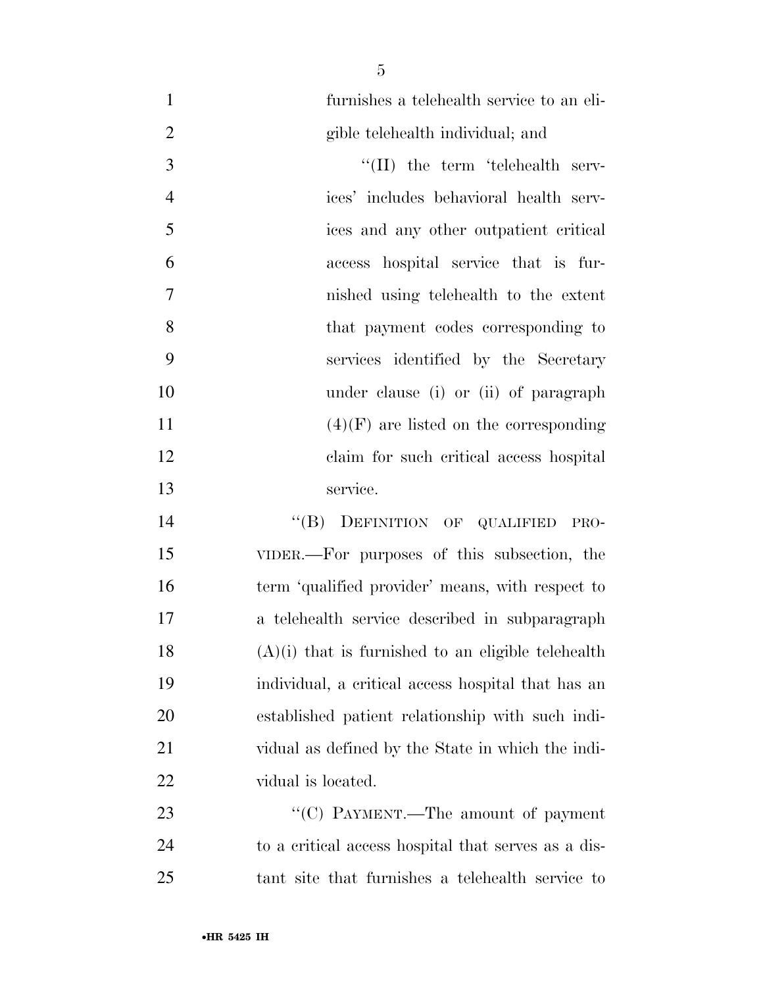furnishes a telehealth service to an eli-

|   | gible telehealth individual; and         |
|---|------------------------------------------|
| 3 | $\lq\lq$ (II) the term 'telehealth serv- |
| 4 | ices' includes behavioral health serv-   |
| 5 | ices and any other outpatient critical   |

 access hospital service that is fur- nished using telehealth to the extent 8 that payment codes corresponding to services identified by the Secretary under clause (i) or (ii) of paragraph  $(4)(F)$  are listed on the corresponding claim for such critical access hospital service.

14 "(B) DEFINITION OF QUALIFIED PRO- VIDER.—For purposes of this subsection, the term 'qualified provider' means, with respect to a telehealth service described in subparagraph (A)(i) that is furnished to an eligible telehealth individual, a critical access hospital that has an established patient relationship with such indi- vidual as defined by the State in which the indi-vidual is located.

23 "'(C) PAYMENT.—The amount of payment to a critical access hospital that serves as a dis-tant site that furnishes a telehealth service to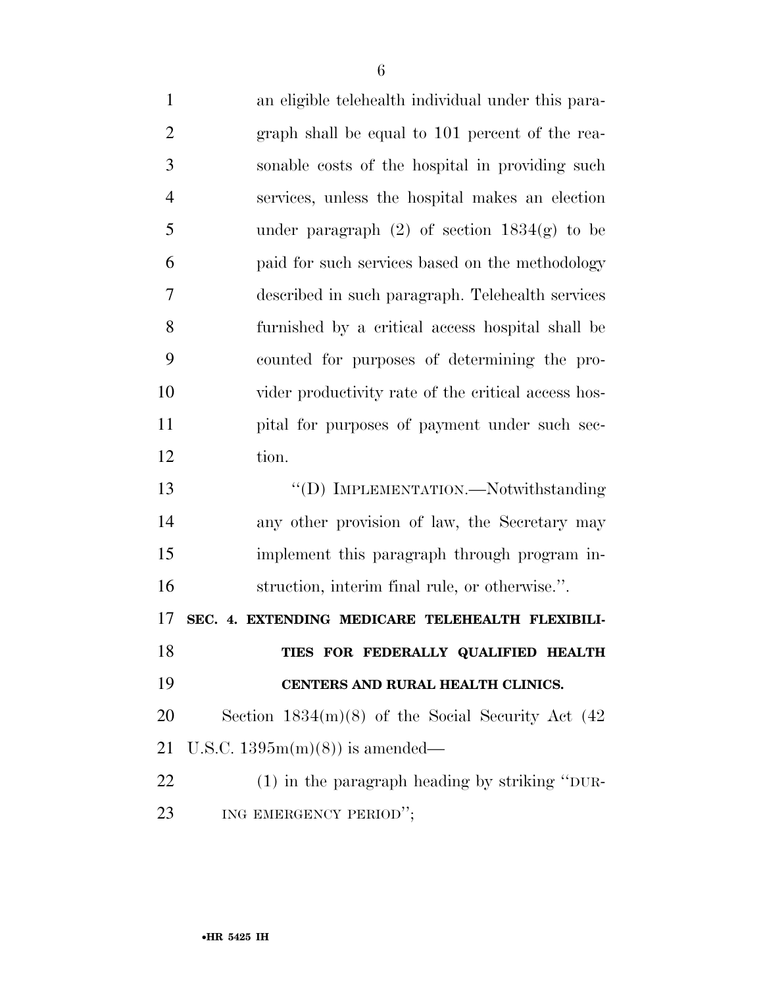an eligible telehealth individual under this para- graph shall be equal to 101 percent of the rea- sonable costs of the hospital in providing such services, unless the hospital makes an election 5 under paragraph  $(2)$  of section  $1834(g)$  to be paid for such services based on the methodology described in such paragraph. Telehealth services furnished by a critical access hospital shall be counted for purposes of determining the pro- vider productivity rate of the critical access hos- pital for purposes of payment under such sec- tion. ''(D) IMPLEMENTATION.—Notwithstanding any other provision of law, the Secretary may implement this paragraph through program in- struction, interim final rule, or otherwise.''. **SEC. 4. EXTENDING MEDICARE TELEHEALTH FLEXIBILI- TIES FOR FEDERALLY QUALIFIED HEALTH CENTERS AND RURAL HEALTH CLINICS.**  Section 1834(m)(8) of the Social Security Act (42 U.S.C. 1395m(m)(8)) is amended— (1) in the paragraph heading by striking ''DUR-23 ING EMERGENCY PERIOD";

•**HR 5425 IH**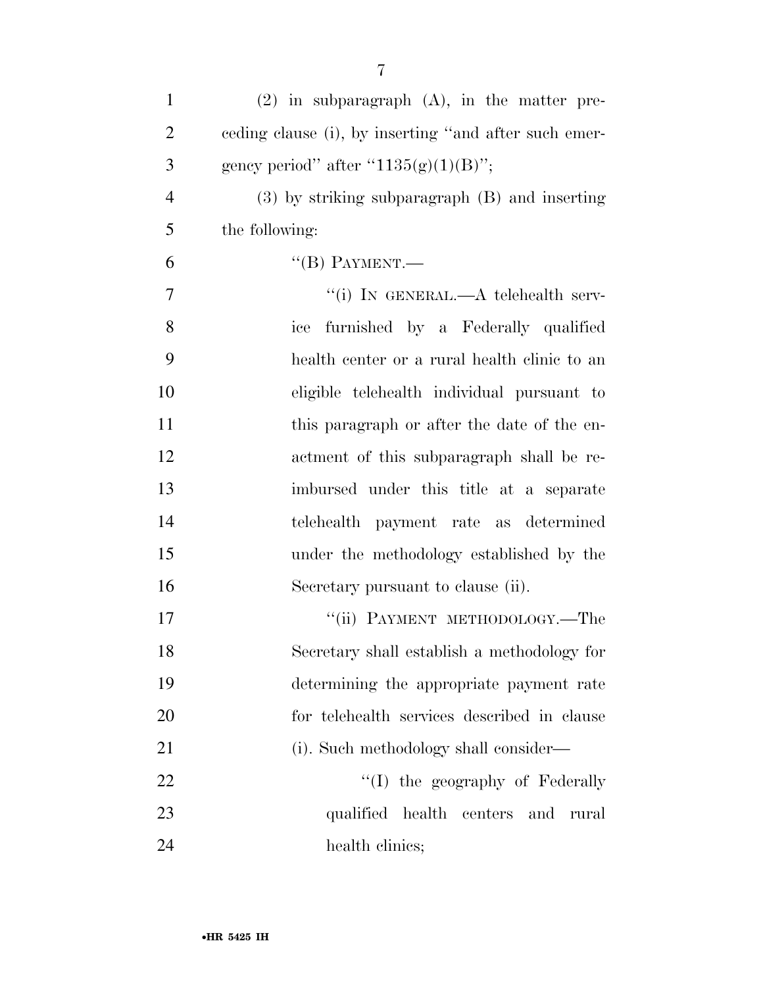| $\mathbf{1}$   | $(2)$ in subparagraph $(A)$ , in the matter pre-      |
|----------------|-------------------------------------------------------|
| $\overline{2}$ | eeding clause (i), by inserting "and after such emer- |
| 3              | gency period" after " $1135(g)(1)(B)$ ";              |
| $\overline{4}$ | $(3)$ by striking subparagraph $(B)$ and inserting    |
| 5              | the following:                                        |
| 6              | $\lq$ <sup>"</sup> (B) PAYMENT.—                      |
| 7              | "(i) IN GENERAL.—A telehealth serv-                   |
| 8              | ice furnished by a Federally qualified                |
| 9              | health center or a rural health clinic to an          |
| 10             | eligible telehealth individual pursuant to            |
| 11             | this paragraph or after the date of the en-           |
| 12             | actment of this subparagraph shall be re-             |
| 13             | imbursed under this title at a separate               |
| 14             | payment rate as determined<br>telehealth              |
| 15             | under the methodology established by the              |
| 16             | Secretary pursuant to clause (ii).                    |
| 17             | "(ii) PAYMENT METHODOLOGY.—The                        |
| 18             | Secretary shall establish a methodology for           |
| 19             | determining the appropriate payment rate              |
| 20             | for telehealth services described in clause           |
| 21             | (i). Such methodology shall consider—                 |
| 22             | "(I) the geography of Federally                       |
| 23             | qualified<br>health centers and<br>rural              |
| 24             | health clinics;                                       |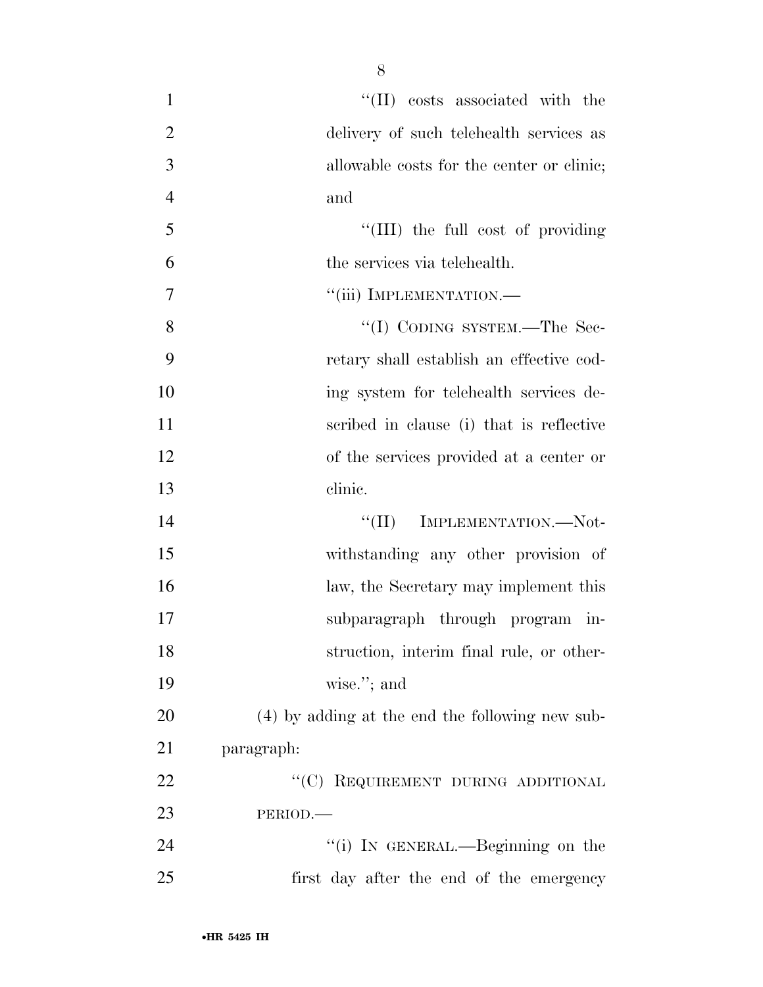| $\mathbf{1}$   | $\lq\lq$ (II) costs associated with the         |
|----------------|-------------------------------------------------|
| $\overline{2}$ | delivery of such telehealth services as         |
| 3              | allowable costs for the center or clinic;       |
| $\overline{4}$ | and                                             |
| 5              | "(III) the full cost of providing               |
| 6              | the services via telehealth.                    |
| 7              | "(iii) IMPLEMENTATION.-                         |
| 8              | "(I) CODING SYSTEM.—The Sec-                    |
| 9              | retary shall establish an effective cod-        |
| 10             | ing system for telehealth services de-          |
| 11             | scribed in clause (i) that is reflective        |
| 12             | of the services provided at a center or         |
| 13             | clinic.                                         |
| 14             | "(II) IMPLEMENTATION.—Not-                      |
| 15             | withstanding any other provision of             |
| 16             | law, the Secretary may implement this           |
| 17             | subparagraph through program in-                |
| 18             | struction, interim final rule, or other-        |
| 19             | wise."; and                                     |
| 20             | (4) by adding at the end the following new sub- |
| 21             | paragraph:                                      |
| 22             | "(C) REQUIREMENT DURING ADDITIONAL              |
| 23             | PERIOD.                                         |
| 24             | "(i) IN GENERAL.—Beginning on the               |
| 25             | first day after the end of the emergency        |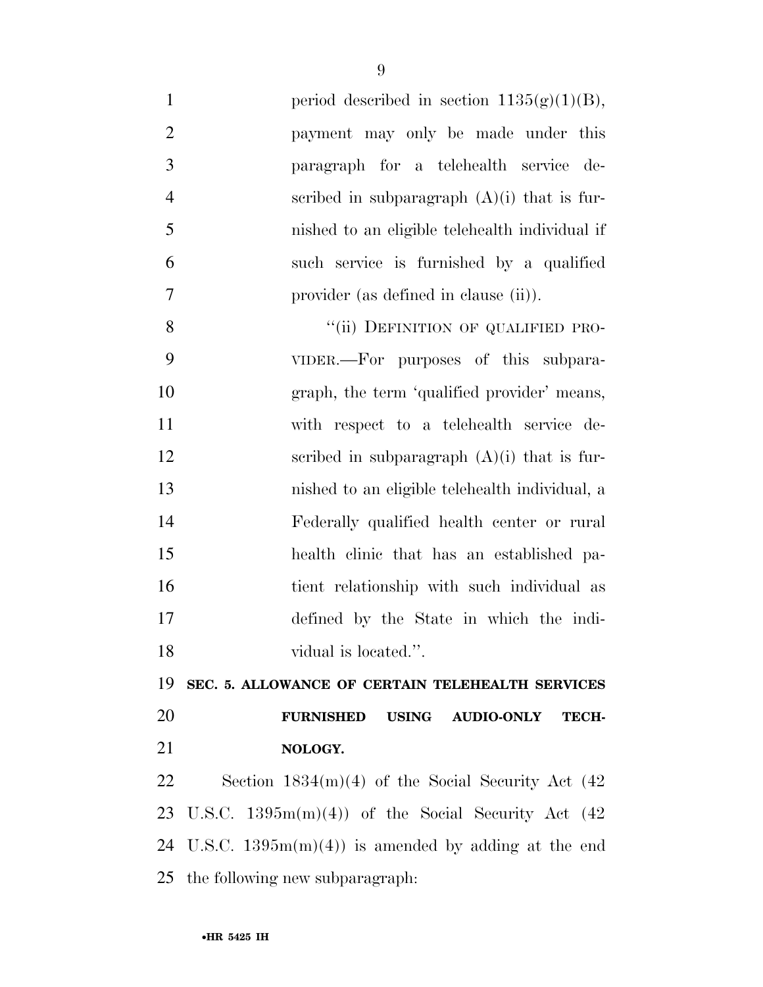| $\mathbf{1}$   | period described in section $1135(g)(1)(B)$ ,                  |
|----------------|----------------------------------------------------------------|
| $\overline{2}$ | payment may only be made under this                            |
| 3              | paragraph for a telehealth service de-                         |
| $\overline{4}$ | scribed in subparagraph $(A)(i)$ that is fur-                  |
| 5              | nished to an eligible telehealth individual if                 |
| 6              | such service is furnished by a qualified                       |
| $\tau$         | provider (as defined in clause (ii)).                          |
| 8              | "(ii) DEFINITION OF QUALIFIED PRO-                             |
| 9              | VIDER.—For purposes of this subpara-                           |
| 10             | graph, the term 'qualified provider' means,                    |
| 11             | with respect to a telehealth service de-                       |
| 12             | scribed in subparagraph $(A)(i)$ that is fur-                  |
| 13             | nished to an eligible telehealth individual, a                 |
| 14             | Federally qualified health center or rural                     |
| 15             | health clinic that has an established pa-                      |
| 16             | tient relationship with such individual as                     |
| 17             | defined by the State in which the indi-                        |
| 18             | vidual is located.".                                           |
| 19             | SEC. 5. ALLOWANCE OF CERTAIN TELEHEALTH SERVICES               |
| 20             | <b>FURNISHED</b><br><b>USING</b><br><b>AUDIO-ONLY</b><br>TECH- |
| 21             | NOLOGY.                                                        |
| 22             | Section $1834(m)(4)$ of the Social Security Act $(42)$         |
| 23             | U.S.C. $1395m(m)(4)$ of the Social Security Act (42)           |
| 24             | U.S.C. $1395m(m)(4)$ is amended by adding at the end           |
|                | 25 the following new subparagraph:                             |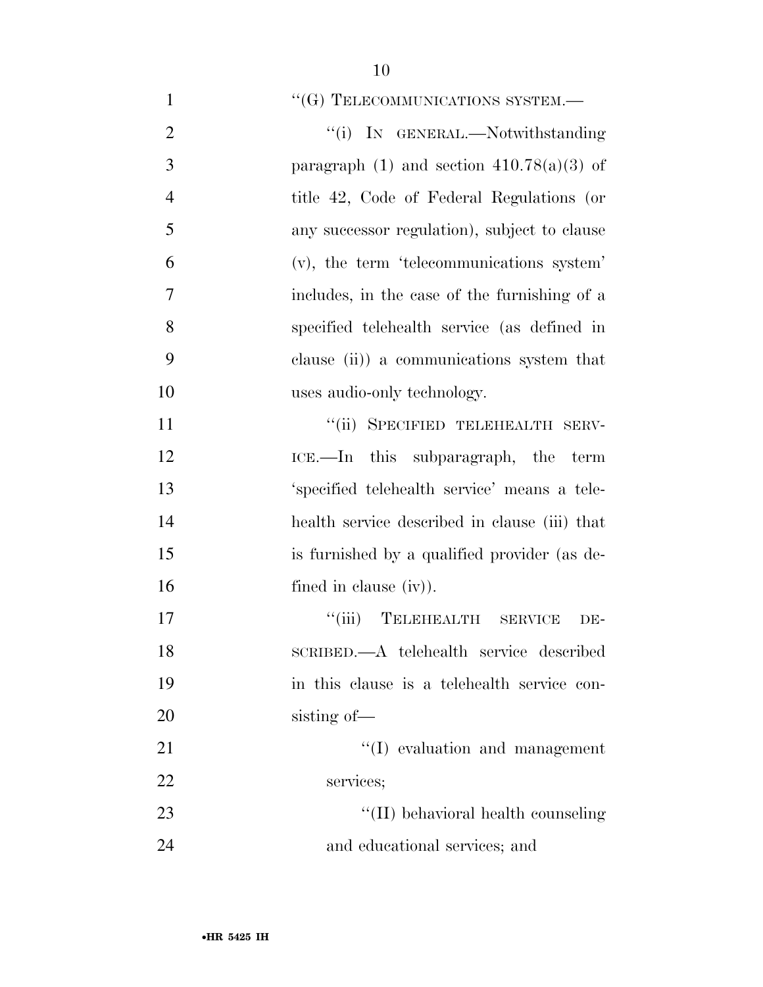| $\mathbf{1}$   | " $(G)$ TELECOMMUNICATIONS SYSTEM.—           |
|----------------|-----------------------------------------------|
| $\overline{2}$ | "(i) IN GENERAL.—Notwithstanding              |
| 3              | paragraph $(1)$ and section $410.78(a)(3)$ of |
| $\overline{4}$ | title 42, Code of Federal Regulations (or     |
| 5              | any successor regulation), subject to clause  |
| 6              | (v), the term 'telecommunications system'     |
| 7              | includes, in the case of the furnishing of a  |
| 8              | specified telehealth service (as defined in   |
| 9              | clause $(ii)$ a communications system that    |
| 10             | uses audio-only technology.                   |
| 11             | "(ii) SPECIFIED TELEHEALTH SERV-              |
| 12             | ICE.—In this subparagraph, the term           |
| 13             | 'specified telehealth service' means a tele-  |
| 14             | health service described in clause (iii) that |
| 15             | is furnished by a qualified provider (as de-  |
| 16             | fined in clause $(iv)$ ).                     |
| 17             | "(iii) TELEHEALTH SERVICE<br>DE-              |
| 18             | SCRIBED.—A telehealth service described       |
| 19             | in this clause is a telehealth service con-   |
| 20             | sisting of-                                   |
| 21             | $\lq\lq$ evaluation and management            |
| 22             | services;                                     |
| 23             | "(II) behavioral health counseling            |
| 24             | and educational services; and                 |
|                |                                               |
|                |                                               |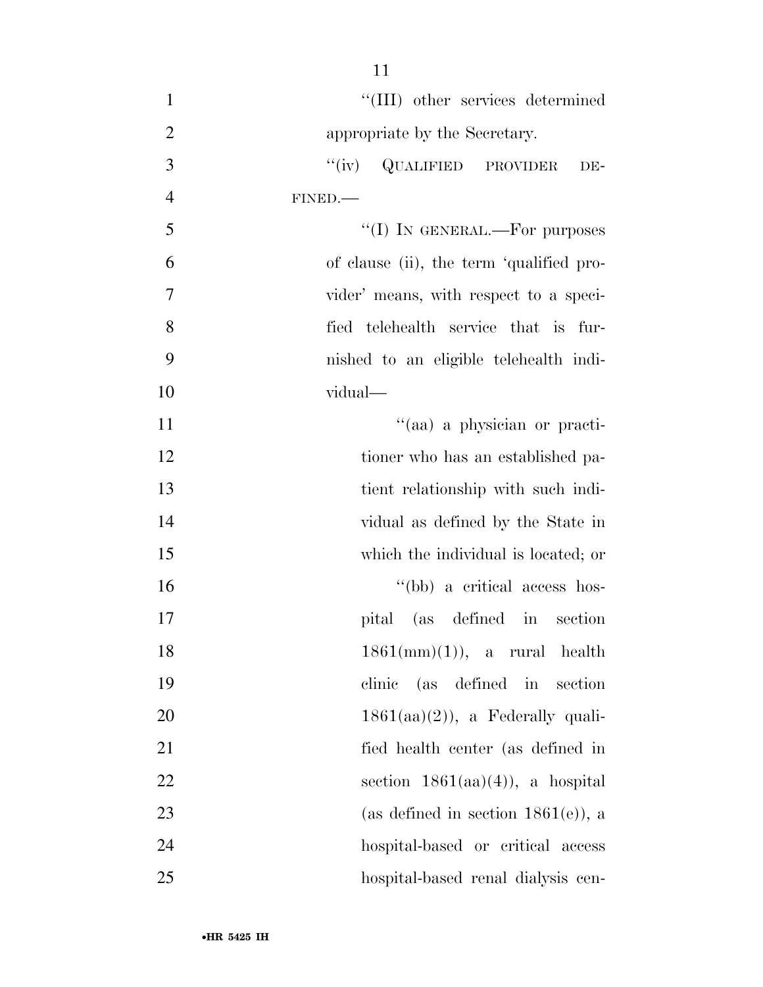| $\mathbf{1}$   | "(III) other services determined         |
|----------------|------------------------------------------|
| $\overline{2}$ | appropriate by the Secretary.            |
| 3              | "(iv) QUALIFIED PROVIDER<br>DE-          |
| $\overline{4}$ | FINED.                                   |
| 5              | "(I) IN GENERAL.—For purposes            |
| 6              | of clause (ii), the term 'qualified pro- |
| 7              | vider' means, with respect to a speci-   |
| 8              | fied telehealth service that is fur-     |
| 9              | nished to an eligible telehealth indi-   |
| 10             | vidual—                                  |
| 11             | "(aa) a physician or practi-             |
| 12             | tioner who has an established pa-        |
| 13             | tient relationship with such indi-       |
| 14             | vidual as defined by the State in        |
| 15             | which the individual is located; or      |
| 16             | "(bb) a critical access hos-             |
| 17             | pital (as defined in section             |
| 18             | 1861(mm)(1)), a rural health             |
| 19             | (as defined in section<br>clinic         |
| 20             | $1861(aa)(2)$ , a Federally quali-       |
| 21             | fied health center (as defined in        |
| 22             | section $1861(aa)(4)$ , a hospital       |
| 23             | (as defined in section $1861(e)$ ), a    |
| 24             | hospital-based or critical access        |
| 25             | hospital-based renal dialysis cen-       |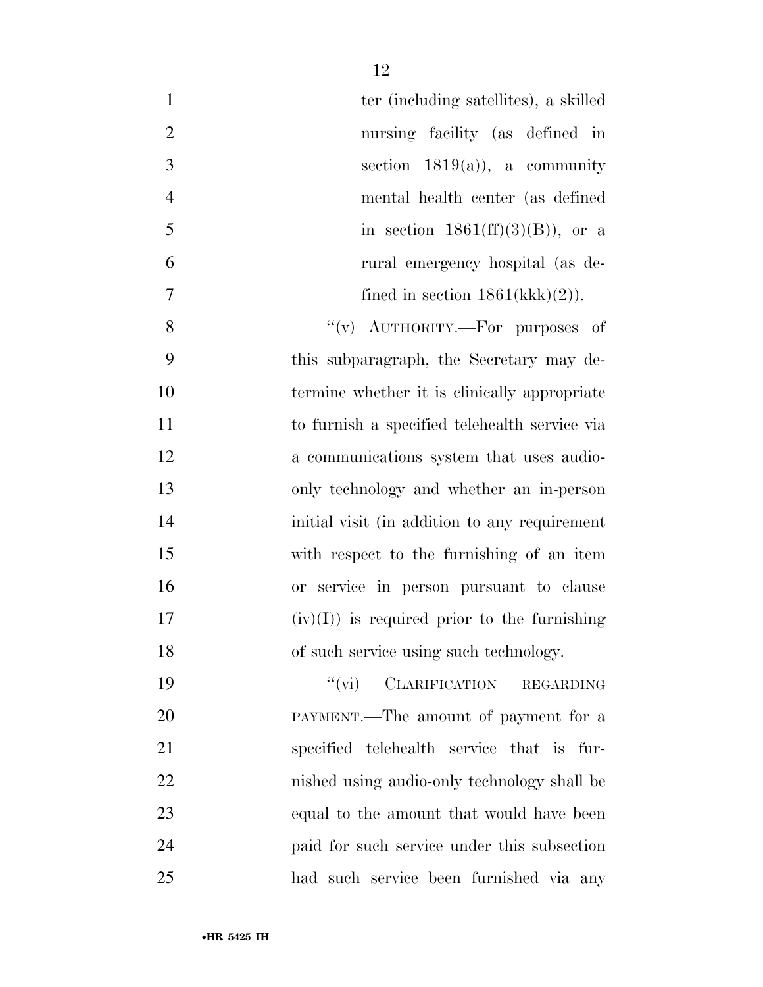| $\mathbf{1}$   | ter (including satellites), a skilled             |
|----------------|---------------------------------------------------|
| $\overline{2}$ | nursing facility (as defined in                   |
| 3              | section $1819(a)$ , a community                   |
| $\overline{4}$ | mental health center (as defined                  |
| 5              | in section $1861(ff)(3)(B)$ , or a                |
| 6              | rural emergency hospital (as de-                  |
| $\overline{7}$ | fined in section $1861(kkk)(2)$ .                 |
| 8              | "(v) $\text{AUTHORITY}$ . For purposes of         |
| 9              | this subparagraph, the Secretary may de-          |
| 10             | termine whether it is clinically appropriate      |
| 11             | to furnish a specified telehealth service via     |
| 12             | a communications system that uses audio-          |
| 13             | only technology and whether an in-person          |
| 14             | initial visit (in addition to any requirement     |
| 15             | with respect to the furnishing of an item         |
| 16             | or service in person pursuant to clause           |
| 17             | $(iv)(I)$ is required prior to the furnishing     |
| 18             | of such service using such technology.            |
| 19             | $``(\text{vi})$ CLARIFICATION<br><b>REGARDING</b> |
| 20             | PAYMENT.—The amount of payment for a              |
| 21             | specified telehealth service that is fur-         |
| 22             | nished using audio-only technology shall be       |
| 23             | equal to the amount that would have been          |
| 24             | paid for such service under this subsection       |
|                |                                                   |

had such service been furnished via any